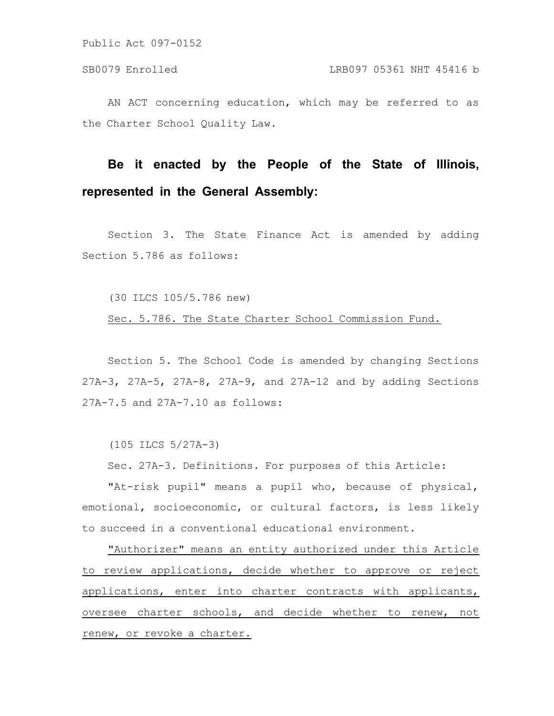AN ACT concerning education, which may be referred to as the Charter School Quality Law.

# **Be it enacted by the People of the State of Illinois, represented in the General Assembly:**

Section 3. The State Finance Act is amended by adding Section 5.786 as follows:

(30 ILCS 105/5.786 new)

Sec. 5.786. The State Charter School Commission Fund.

Section 5. The School Code is amended by changing Sections 27A-3, 27A-5, 27A-8, 27A-9, and 27A-12 and by adding Sections 27A-7.5 and 27A-7.10 as follows:

(105 ILCS 5/27A-3)

Sec. 27A-3. Definitions. For purposes of this Article:

"At-risk pupil" means a pupil who, because of physical, emotional, socioeconomic, or cultural factors, is less likely to succeed in a conventional educational environment.

"Authorizer" means an entity authorized under this Article to review applications, decide whether to approve or reject applications, enter into charter contracts with applicants, oversee charter schools, and decide whether to renew, not renew, or revoke a charter.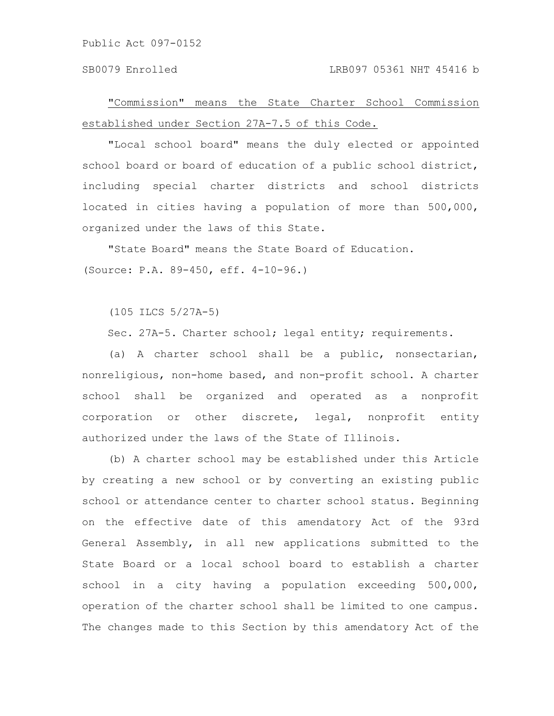#### SB0079 Enrolled LRB097 05361 NHT 45416 b

"Commission" means the State Charter School Commission established under Section 27A-7.5 of this Code.

"Local school board" means the duly elected or appointed school board or board of education of a public school district, including special charter districts and school districts located in cities having a population of more than 500,000, organized under the laws of this State.

"State Board" means the State Board of Education. (Source: P.A. 89-450, eff. 4-10-96.)

(105 ILCS 5/27A-5)

Sec. 27A-5. Charter school; legal entity; requirements.

(a) A charter school shall be a public, nonsectarian, nonreligious, non-home based, and non-profit school. A charter school shall be organized and operated as a nonprofit corporation or other discrete, legal, nonprofit entity authorized under the laws of the State of Illinois.

(b) A charter school may be established under this Article by creating a new school or by converting an existing public school or attendance center to charter school status. Beginning on the effective date of this amendatory Act of the 93rd General Assembly, in all new applications submitted to the State Board or a local school board to establish a charter school in a city having a population exceeding 500,000, operation of the charter school shall be limited to one campus. The changes made to this Section by this amendatory Act of the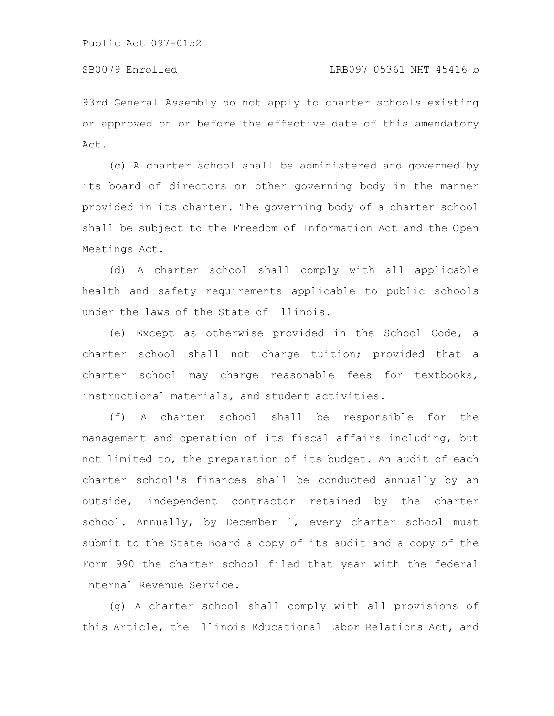93rd General Assembly do not apply to charter schools existing or approved on or before the effective date of this amendatory Act.

(c) A charter school shall be administered and governed by its board of directors or other governing body in the manner provided in its charter. The governing body of a charter school shall be subject to the Freedom of Information Act and the Open Meetings Act.

(d) A charter school shall comply with all applicable health and safety requirements applicable to public schools under the laws of the State of Illinois.

(e) Except as otherwise provided in the School Code, a charter school shall not charge tuition; provided that a charter school may charge reasonable fees for textbooks, instructional materials, and student activities.

(f) A charter school shall be responsible for the management and operation of its fiscal affairs including, but not limited to, the preparation of its budget. An audit of each charter school's finances shall be conducted annually by an outside, independent contractor retained by the charter school. Annually, by December 1, every charter school must submit to the State Board a copy of its audit and a copy of the Form 990 the charter school filed that year with the federal Internal Revenue Service.

(g) A charter school shall comply with all provisions of this Article, the Illinois Educational Labor Relations Act, and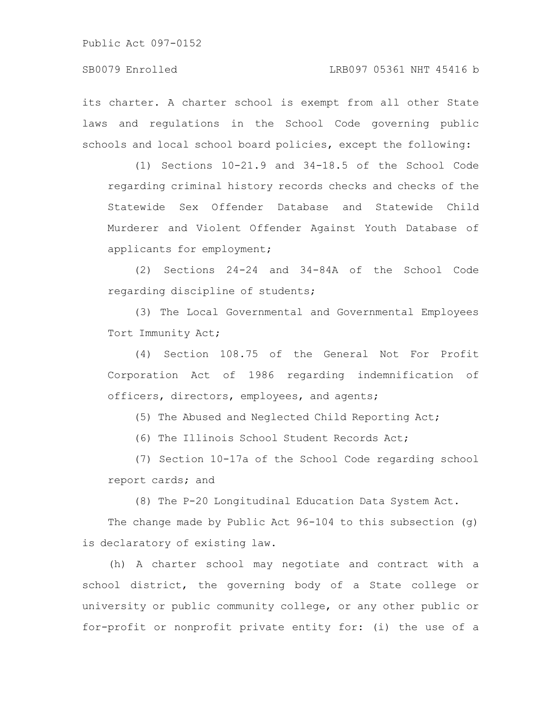its charter. A charter school is exempt from all other State laws and regulations in the School Code governing public schools and local school board policies, except the following:

(1) Sections 10-21.9 and 34-18.5 of the School Code regarding criminal history records checks and checks of the Statewide Sex Offender Database and Statewide Child Murderer and Violent Offender Against Youth Database of applicants for employment;

(2) Sections 24-24 and 34-84A of the School Code regarding discipline of students;

(3) The Local Governmental and Governmental Employees Tort Immunity Act;

(4) Section 108.75 of the General Not For Profit Corporation Act of 1986 regarding indemnification of officers, directors, employees, and agents;

(5) The Abused and Neglected Child Reporting Act;

(6) The Illinois School Student Records Act;

(7) Section 10-17a of the School Code regarding school report cards; and

(8) The P-20 Longitudinal Education Data System Act.

The change made by Public Act 96-104 to this subsection (g) is declaratory of existing law.

(h) A charter school may negotiate and contract with a school district, the governing body of a State college or university or public community college, or any other public or for-profit or nonprofit private entity for: (i) the use of a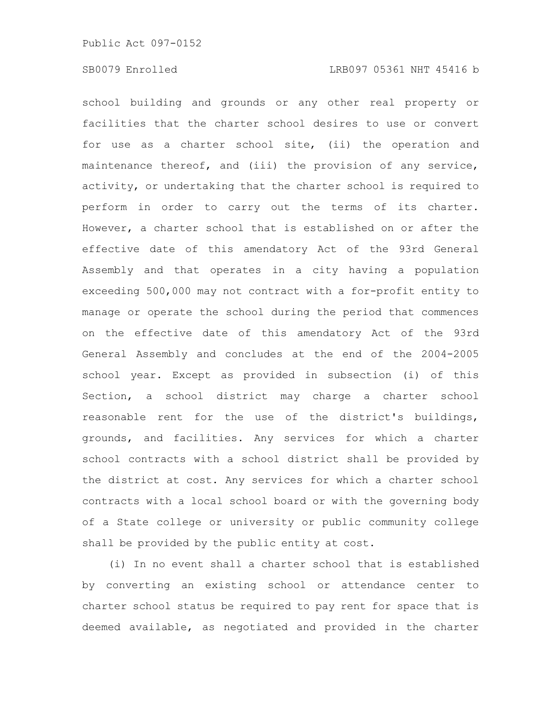#### SB0079 Enrolled LRB097 05361 NHT 45416 b

school building and grounds or any other real property or facilities that the charter school desires to use or convert for use as a charter school site, (ii) the operation and maintenance thereof, and (iii) the provision of any service, activity, or undertaking that the charter school is required to perform in order to carry out the terms of its charter. However, a charter school that is established on or after the effective date of this amendatory Act of the 93rd General Assembly and that operates in a city having a population exceeding 500,000 may not contract with a for-profit entity to manage or operate the school during the period that commences on the effective date of this amendatory Act of the 93rd General Assembly and concludes at the end of the 2004-2005 school year. Except as provided in subsection (i) of this Section, a school district may charge a charter school reasonable rent for the use of the district's buildings, grounds, and facilities. Any services for which a charter school contracts with a school district shall be provided by the district at cost. Any services for which a charter school contracts with a local school board or with the governing body of a State college or university or public community college shall be provided by the public entity at cost.

(i) In no event shall a charter school that is established by converting an existing school or attendance center to charter school status be required to pay rent for space that is deemed available, as negotiated and provided in the charter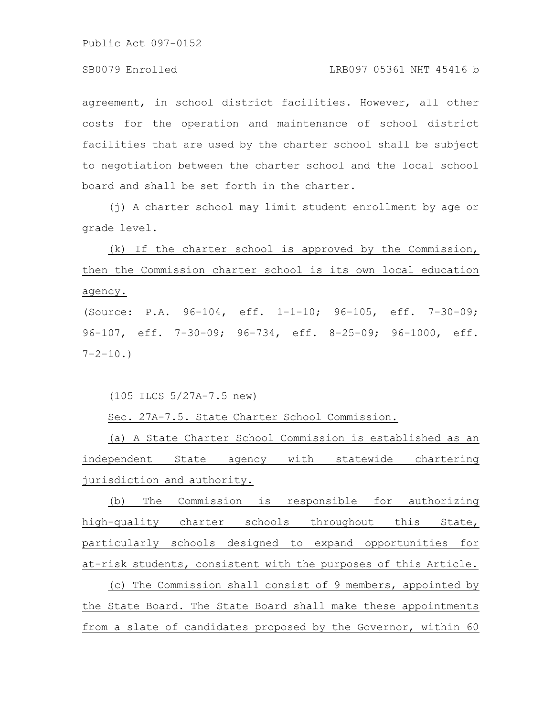### SB0079 Enrolled LRB097 05361 NHT 45416 b

agreement, in school district facilities. However, all other costs for the operation and maintenance of school district facilities that are used by the charter school shall be subject to negotiation between the charter school and the local school board and shall be set forth in the charter.

(j) A charter school may limit student enrollment by age or grade level.

(k) If the charter school is approved by the Commission, then the Commission charter school is its own local education agency. (Source: P.A. 96-104, eff. 1-1-10; 96-105, eff. 7-30-09;

96-107, eff. 7-30-09; 96-734, eff. 8-25-09; 96-1000, eff.  $7 - 2 - 10.$ 

(105 ILCS 5/27A-7.5 new)

Sec. 27A-7.5. State Charter School Commission.

(a) A State Charter School Commission is established as an independent State agency with statewide chartering jurisdiction and authority.

(b) The Commission is responsible for authorizing high-quality charter schools throughout this State, particularly schools designed to expand opportunities for at-risk students, consistent with the purposes of this Article.

(c) The Commission shall consist of 9 members, appointed by the State Board. The State Board shall make these appointments from a slate of candidates proposed by the Governor, within 60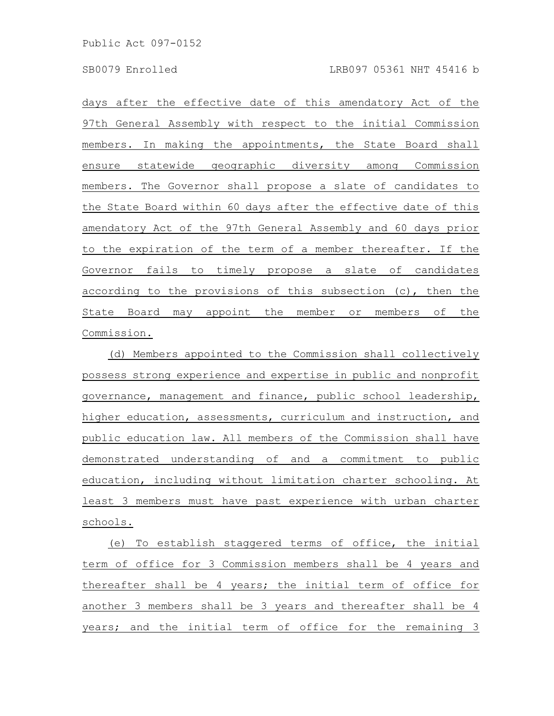days after the effective date of this amendatory Act of the 97th General Assembly with respect to the initial Commission members. In making the appointments, the State Board shall ensure statewide geographic diversity among Commission members. The Governor shall propose a slate of candidates to the State Board within 60 days after the effective date of this amendatory Act of the 97th General Assembly and 60 days prior to the expiration of the term of a member thereafter. If the Governor fails to timely propose a slate of candidates according to the provisions of this subsection (c), then the State Board may appoint the member or members of the Commission.

(d) Members appointed to the Commission shall collectively possess strong experience and expertise in public and nonprofit governance, management and finance, public school leadership, higher education, assessments, curriculum and instruction, and public education law. All members of the Commission shall have demonstrated understanding of and a commitment to public education, including without limitation charter schooling. At least 3 members must have past experience with urban charter schools.

(e) To establish staggered terms of office, the initial term of office for 3 Commission members shall be 4 years and thereafter shall be 4 years; the initial term of office for another 3 members shall be 3 years and thereafter shall be 4 years; and the initial term of office for the remaining 3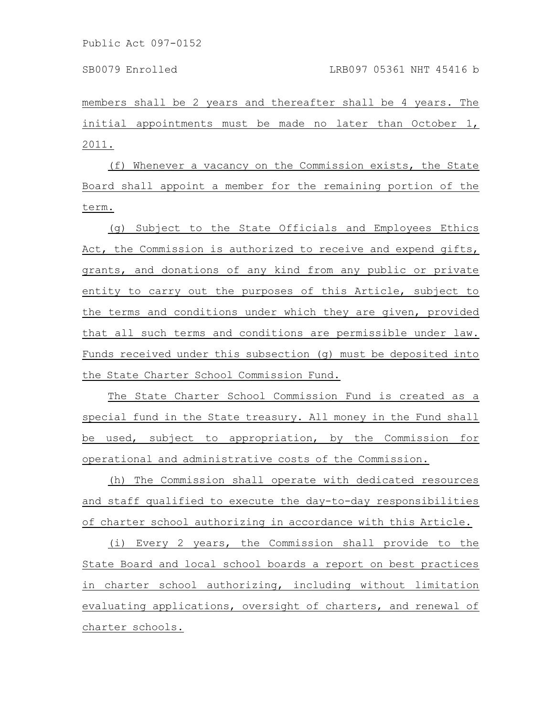members shall be 2 years and thereafter shall be 4 years. The initial appointments must be made no later than October 1, 2011.

(f) Whenever a vacancy on the Commission exists, the State Board shall appoint a member for the remaining portion of the term.

(g) Subject to the State Officials and Employees Ethics Act, the Commission is authorized to receive and expend gifts, grants, and donations of any kind from any public or private entity to carry out the purposes of this Article, subject to the terms and conditions under which they are given, provided that all such terms and conditions are permissible under law. Funds received under this subsection (g) must be deposited into the State Charter School Commission Fund.

The State Charter School Commission Fund is created as a special fund in the State treasury. All money in the Fund shall be used, subject to appropriation, by the Commission for operational and administrative costs of the Commission.

(h) The Commission shall operate with dedicated resources and staff qualified to execute the day-to-day responsibilities of charter school authorizing in accordance with this Article.

(i) Every 2 years, the Commission shall provide to the State Board and local school boards a report on best practices in charter school authorizing, including without limitation evaluating applications, oversight of charters, and renewal of charter schools.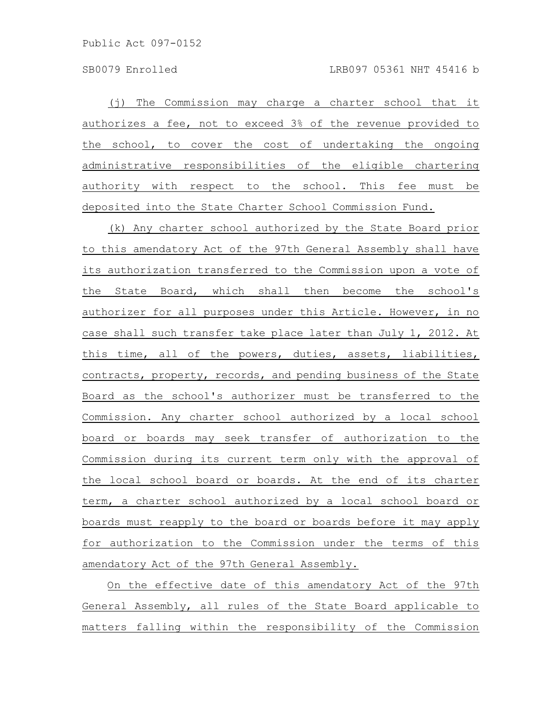(j) The Commission may charge a charter school that it authorizes a fee, not to exceed 3% of the revenue provided to the school, to cover the cost of undertaking the ongoing administrative responsibilities of the eligible chartering authority with respect to the school. This fee must be deposited into the State Charter School Commission Fund.

(k) Any charter school authorized by the State Board prior to this amendatory Act of the 97th General Assembly shall have its authorization transferred to the Commission upon a vote of the State Board, which shall then become the school's authorizer for all purposes under this Article. However, in no case shall such transfer take place later than July 1, 2012. At this time, all of the powers, duties, assets, liabilities, contracts, property, records, and pending business of the State Board as the school's authorizer must be transferred to the Commission. Any charter school authorized by a local school board or boards may seek transfer of authorization to the Commission during its current term only with the approval of the local school board or boards. At the end of its charter term, a charter school authorized by a local school board or boards must reapply to the board or boards before it may apply for authorization to the Commission under the terms of this amendatory Act of the 97th General Assembly.

On the effective date of this amendatory Act of the 97th General Assembly, all rules of the State Board applicable to matters falling within the responsibility of the Commission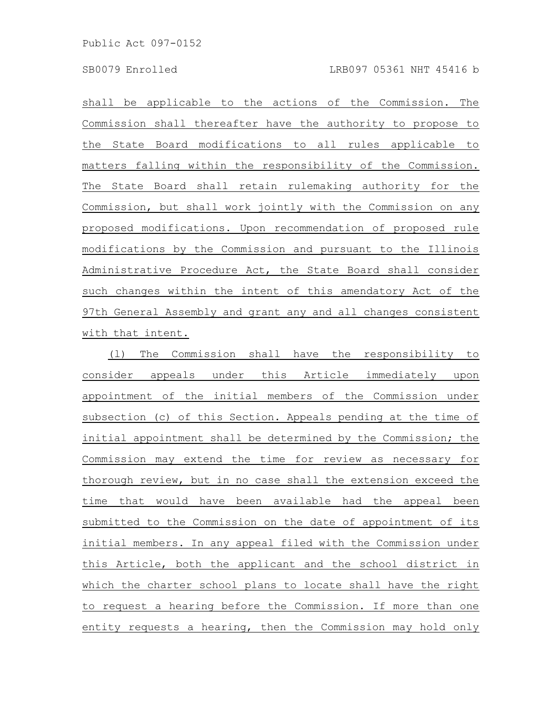shall be applicable to the actions of the Commission. The Commission shall thereafter have the authority to propose to the State Board modifications to all rules applicable to matters falling within the responsibility of the Commission. The State Board shall retain rulemaking authority for the Commission, but shall work jointly with the Commission on any proposed modifications. Upon recommendation of proposed rule modifications by the Commission and pursuant to the Illinois Administrative Procedure Act, the State Board shall consider such changes within the intent of this amendatory Act of the 97th General Assembly and grant any and all changes consistent with that intent.

(l) The Commission shall have the responsibility to consider appeals under this Article immediately upon appointment of the initial members of the Commission under subsection (c) of this Section. Appeals pending at the time of initial appointment shall be determined by the Commission; the Commission may extend the time for review as necessary for thorough review, but in no case shall the extension exceed the time that would have been available had the appeal been submitted to the Commission on the date of appointment of its initial members. In any appeal filed with the Commission under this Article, both the applicant and the school district in which the charter school plans to locate shall have the right to request a hearing before the Commission. If more than one entity requests a hearing, then the Commission may hold only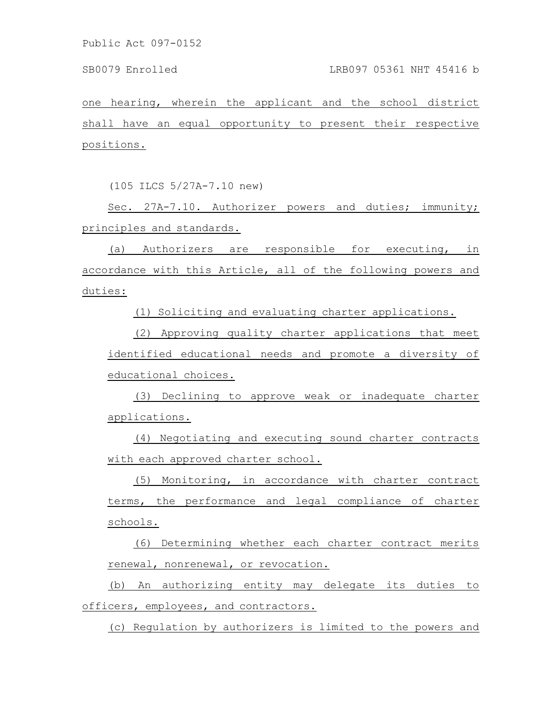one hearing, wherein the applicant and the school district shall have an equal opportunity to present their respective positions.

(105 ILCS 5/27A-7.10 new)

Sec. 27A-7.10. Authorizer powers and duties; immunity; principles and standards.

(a) Authorizers are responsible for executing, in accordance with this Article, all of the following powers and duties:

(1) Soliciting and evaluating charter applications.

(2) Approving quality charter applications that meet identified educational needs and promote a diversity of educational choices.

(3) Declining to approve weak or inadequate charter applications.

(4) Negotiating and executing sound charter contracts with each approved charter school.

(5) Monitoring, in accordance with charter contract terms, the performance and legal compliance of charter schools.

(6) Determining whether each charter contract merits renewal, nonrenewal, or revocation.

(b) An authorizing entity may delegate its duties to officers, employees, and contractors.

(c) Regulation by authorizers is limited to the powers and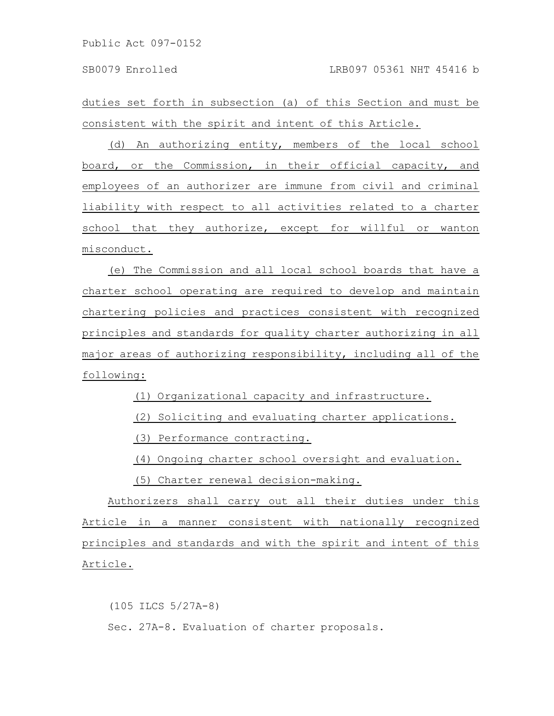duties set forth in subsection (a) of this Section and must be consistent with the spirit and intent of this Article.

(d) An authorizing entity, members of the local school board, or the Commission, in their official capacity, and employees of an authorizer are immune from civil and criminal liability with respect to all activities related to a charter school that they authorize, except for willful or wanton misconduct.

(e) The Commission and all local school boards that have a charter school operating are required to develop and maintain chartering policies and practices consistent with recognized principles and standards for quality charter authorizing in all major areas of authorizing responsibility, including all of the following:

(1) Organizational capacity and infrastructure.

(2) Soliciting and evaluating charter applications.

(3) Performance contracting.

(4) Ongoing charter school oversight and evaluation.

(5) Charter renewal decision-making.

Authorizers shall carry out all their duties under this Article in a manner consistent with nationally recognized principles and standards and with the spirit and intent of this Article.

(105 ILCS 5/27A-8) Sec. 27A-8. Evaluation of charter proposals.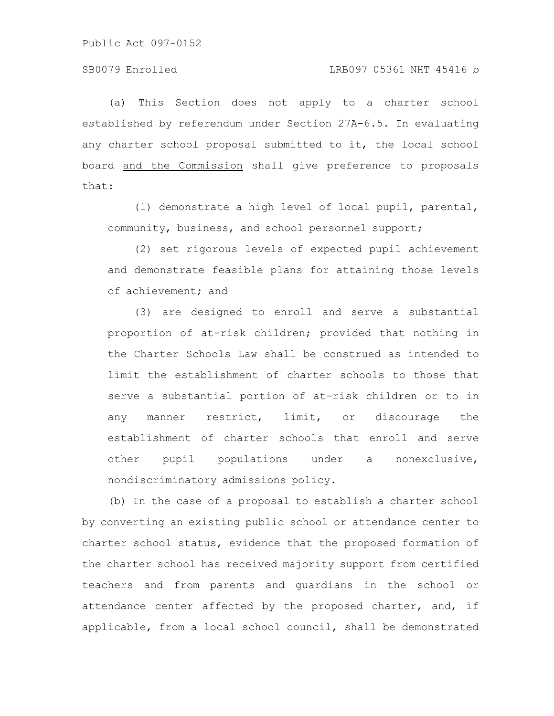(a) This Section does not apply to a charter school established by referendum under Section 27A-6.5. In evaluating any charter school proposal submitted to it, the local school board and the Commission shall give preference to proposals that:

(1) demonstrate a high level of local pupil, parental, community, business, and school personnel support;

(2) set rigorous levels of expected pupil achievement and demonstrate feasible plans for attaining those levels of achievement; and

(3) are designed to enroll and serve a substantial proportion of at-risk children; provided that nothing in the Charter Schools Law shall be construed as intended to limit the establishment of charter schools to those that serve a substantial portion of at-risk children or to in any manner restrict, limit, or discourage the establishment of charter schools that enroll and serve other pupil populations under a nonexclusive, nondiscriminatory admissions policy.

(b) In the case of a proposal to establish a charter school by converting an existing public school or attendance center to charter school status, evidence that the proposed formation of the charter school has received majority support from certified teachers and from parents and guardians in the school or attendance center affected by the proposed charter, and, if applicable, from a local school council, shall be demonstrated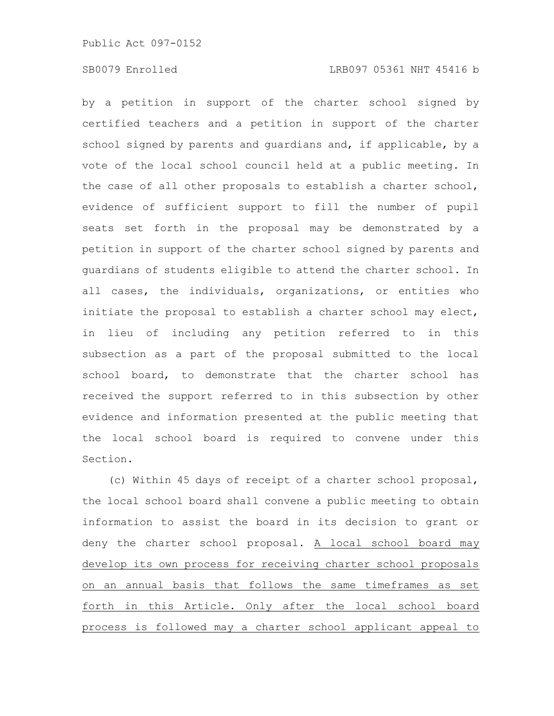### SB0079 Enrolled LRB097 05361 NHT 45416 b

by a petition in support of the charter school signed by certified teachers and a petition in support of the charter school signed by parents and guardians and, if applicable, by a vote of the local school council held at a public meeting. In the case of all other proposals to establish a charter school, evidence of sufficient support to fill the number of pupil seats set forth in the proposal may be demonstrated by a petition in support of the charter school signed by parents and guardians of students eligible to attend the charter school. In all cases, the individuals, organizations, or entities who initiate the proposal to establish a charter school may elect, in lieu of including any petition referred to in this subsection as a part of the proposal submitted to the local school board, to demonstrate that the charter school has received the support referred to in this subsection by other evidence and information presented at the public meeting that the local school board is required to convene under this Section.

(c) Within 45 days of receipt of a charter school proposal, the local school board shall convene a public meeting to obtain information to assist the board in its decision to grant or deny the charter school proposal. A local school board may develop its own process for receiving charter school proposals on an annual basis that follows the same timeframes as set forth in this Article. Only after the local school board process is followed may a charter school applicant appeal to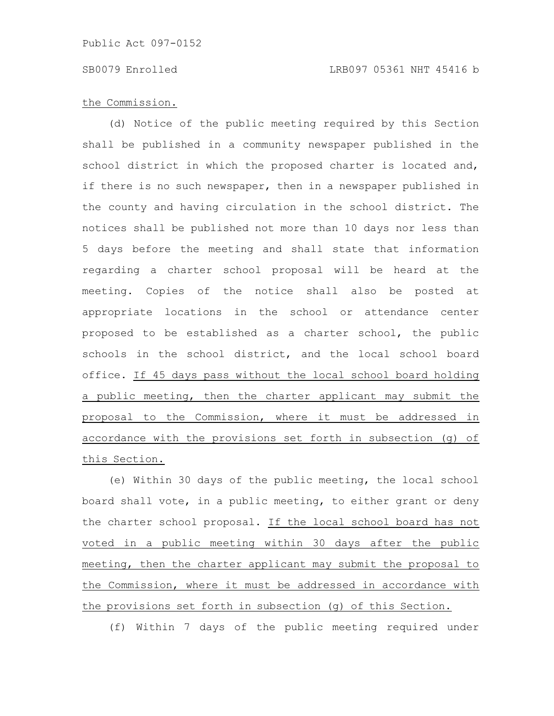# the Commission.

(d) Notice of the public meeting required by this Section shall be published in a community newspaper published in the school district in which the proposed charter is located and, if there is no such newspaper, then in a newspaper published in the county and having circulation in the school district. The notices shall be published not more than 10 days nor less than 5 days before the meeting and shall state that information regarding a charter school proposal will be heard at the meeting. Copies of the notice shall also be posted at appropriate locations in the school or attendance center proposed to be established as a charter school, the public schools in the school district, and the local school board office. If 45 days pass without the local school board holding a public meeting, then the charter applicant may submit the proposal to the Commission, where it must be addressed in accordance with the provisions set forth in subsection (g) of this Section.

(e) Within 30 days of the public meeting, the local school board shall vote, in a public meeting, to either grant or deny the charter school proposal. If the local school board has not voted in a public meeting within 30 days after the public meeting, then the charter applicant may submit the proposal to the Commission, where it must be addressed in accordance with the provisions set forth in subsection (g) of this Section.

(f) Within 7 days of the public meeting required under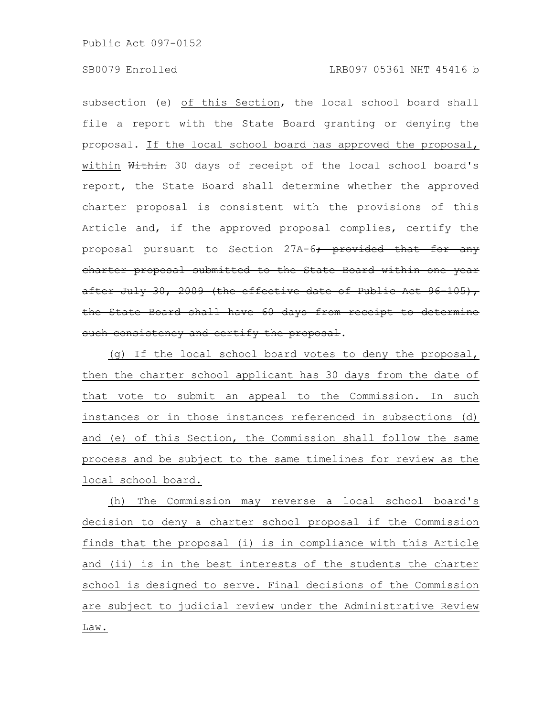# SB0079 Enrolled LRB097 05361 NHT 45416 b

subsection (e) of this Section, the local school board shall file a report with the State Board granting or denying the proposal. If the local school board has approved the proposal, within Within 30 days of receipt of the local school board's report, the State Board shall determine whether the approved charter proposal is consistent with the provisions of this Article and, if the approved proposal complies, certify the proposal pursuant to Section 27A-6; provided that for any charter proposal submitted to the State Board within one year after July 30, 2009 (the effective date of Public Act 96 105), the State Board shall have 60 days from receipt to determine such consistency and certify the proposal.

(g) If the local school board votes to deny the proposal, then the charter school applicant has 30 days from the date of that vote to submit an appeal to the Commission. In such instances or in those instances referenced in subsections (d) and (e) of this Section, the Commission shall follow the same process and be subject to the same timelines for review as the local school board.

(h) The Commission may reverse a local school board's decision to deny a charter school proposal if the Commission finds that the proposal (i) is in compliance with this Article and (ii) is in the best interests of the students the charter school is designed to serve. Final decisions of the Commission are subject to judicial review under the Administrative Review Law.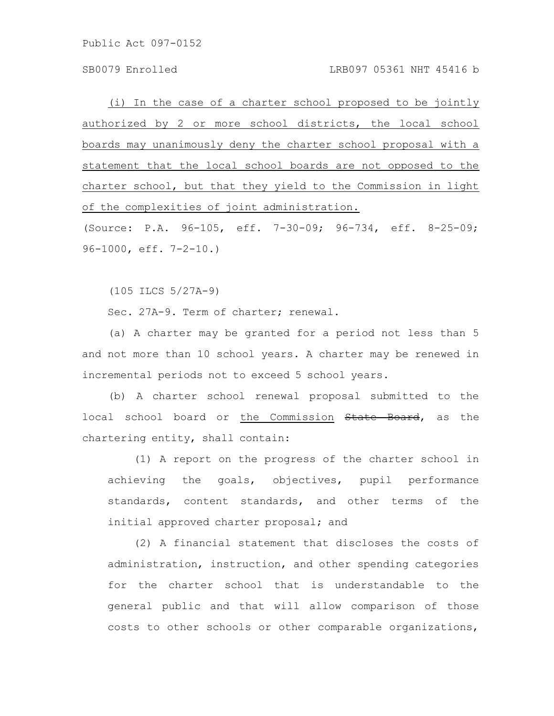SB0079 Enrolled LRB097 05361 NHT 45416 b

(i) In the case of a charter school proposed to be jointly authorized by 2 or more school districts, the local school boards may unanimously deny the charter school proposal with a statement that the local school boards are not opposed to the charter school, but that they yield to the Commission in light of the complexities of joint administration.

(Source: P.A. 96-105, eff. 7-30-09; 96-734, eff. 8-25-09; 96-1000, eff. 7-2-10.)

(105 ILCS 5/27A-9)

Sec. 27A-9. Term of charter; renewal.

(a) A charter may be granted for a period not less than 5 and not more than 10 school years. A charter may be renewed in incremental periods not to exceed 5 school years.

(b) A charter school renewal proposal submitted to the local school board or the Commission State Board, as the chartering entity, shall contain:

(1) A report on the progress of the charter school in achieving the goals, objectives, pupil performance standards, content standards, and other terms of the initial approved charter proposal; and

(2) A financial statement that discloses the costs of administration, instruction, and other spending categories for the charter school that is understandable to the general public and that will allow comparison of those costs to other schools or other comparable organizations,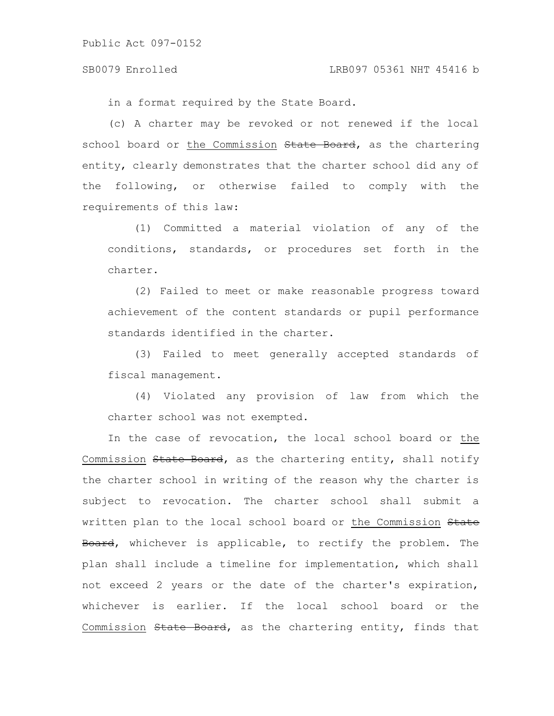in a format required by the State Board.

(c) A charter may be revoked or not renewed if the local school board or the Commission State Board, as the chartering entity, clearly demonstrates that the charter school did any of the following, or otherwise failed to comply with the requirements of this law:

(1) Committed a material violation of any of the conditions, standards, or procedures set forth in the charter.

(2) Failed to meet or make reasonable progress toward achievement of the content standards or pupil performance standards identified in the charter.

(3) Failed to meet generally accepted standards of fiscal management.

(4) Violated any provision of law from which the charter school was not exempted.

In the case of revocation, the local school board or the Commission State Board, as the chartering entity, shall notify the charter school in writing of the reason why the charter is subject to revocation. The charter school shall submit a written plan to the local school board or the Commission State Board, whichever is applicable, to rectify the problem. The plan shall include a timeline for implementation, which shall not exceed 2 years or the date of the charter's expiration, whichever is earlier. If the local school board or the Commission State Board, as the chartering entity, finds that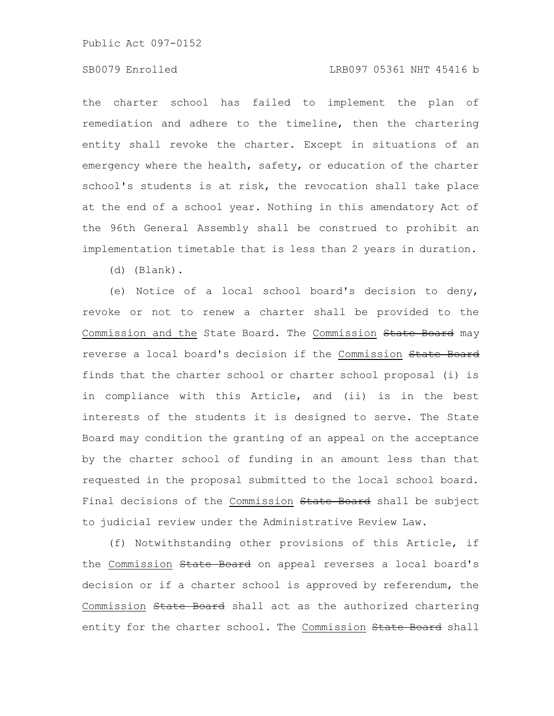#### SB0079 Enrolled LRB097 05361 NHT 45416 b

the charter school has failed to implement the plan of remediation and adhere to the timeline, then the chartering entity shall revoke the charter. Except in situations of an emergency where the health, safety, or education of the charter school's students is at risk, the revocation shall take place at the end of a school year. Nothing in this amendatory Act of the 96th General Assembly shall be construed to prohibit an implementation timetable that is less than 2 years in duration.

(d) (Blank).

(e) Notice of a local school board's decision to deny, revoke or not to renew a charter shall be provided to the Commission and the State Board. The Commission State Board may reverse a local board's decision if the Commission State Board finds that the charter school or charter school proposal (i) is in compliance with this Article, and (ii) is in the best interests of the students it is designed to serve. The State Board may condition the granting of an appeal on the acceptance by the charter school of funding in an amount less than that requested in the proposal submitted to the local school board. Final decisions of the Commission State Board shall be subject to judicial review under the Administrative Review Law.

(f) Notwithstanding other provisions of this Article, if the Commission State Board on appeal reverses a local board's decision or if a charter school is approved by referendum, the Commission State Board shall act as the authorized chartering entity for the charter school. The Commission State Board shall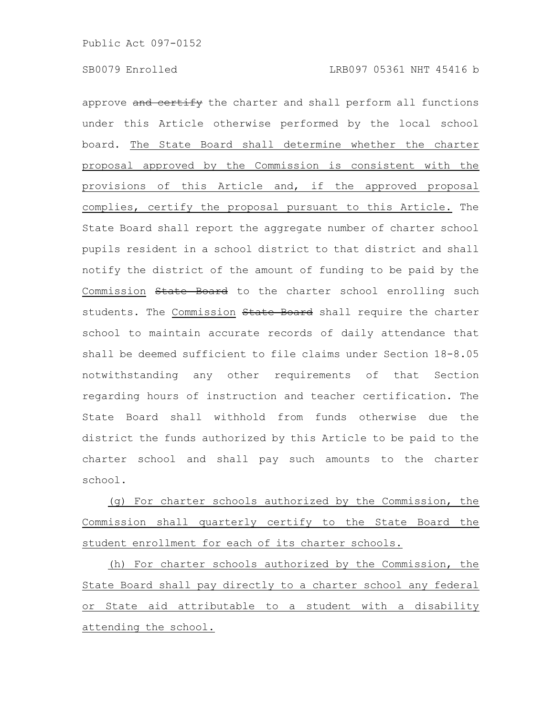approve and certify the charter and shall perform all functions under this Article otherwise performed by the local school board. The State Board shall determine whether the charter proposal approved by the Commission is consistent with the provisions of this Article and, if the approved proposal complies, certify the proposal pursuant to this Article. The State Board shall report the aggregate number of charter school pupils resident in a school district to that district and shall notify the district of the amount of funding to be paid by the Commission State Board to the charter school enrolling such students. The Commission State Board shall require the charter school to maintain accurate records of daily attendance that shall be deemed sufficient to file claims under Section 18-8.05 notwithstanding any other requirements of that Section regarding hours of instruction and teacher certification. The State Board shall withhold from funds otherwise due the district the funds authorized by this Article to be paid to the charter school and shall pay such amounts to the charter school.

(g) For charter schools authorized by the Commission, the Commission shall quarterly certify to the State Board the student enrollment for each of its charter schools.

(h) For charter schools authorized by the Commission, the State Board shall pay directly to a charter school any federal or State aid attributable to a student with a disability attending the school.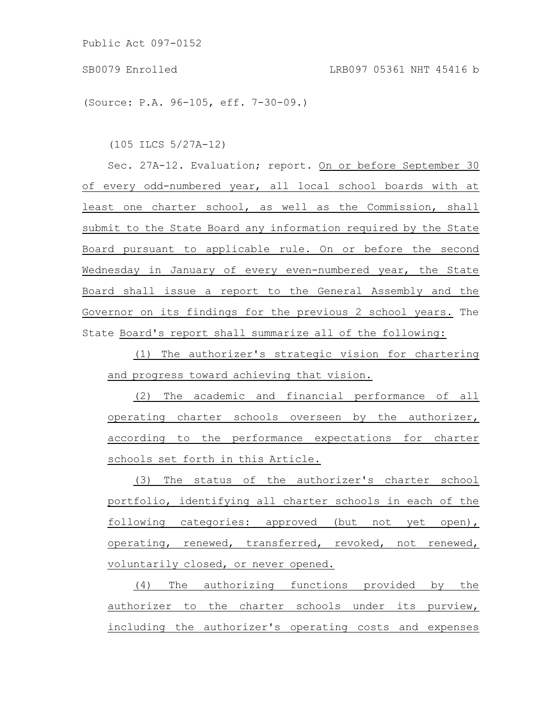(Source: P.A. 96-105, eff. 7-30-09.)

(105 ILCS 5/27A-12)

Sec. 27A-12. Evaluation; report. On or before September 30 of every odd-numbered year, all local school boards with at least one charter school, as well as the Commission, shall submit to the State Board any information required by the State Board pursuant to applicable rule. On or before the second Wednesday in January of every even-numbered year, the State Board shall issue a report to the General Assembly and the Governor on its findings for the previous 2 school years. The State Board's report shall summarize all of the following:

(1) The authorizer's strategic vision for chartering and progress toward achieving that vision.

(2) The academic and financial performance of all operating charter schools overseen by the authorizer, according to the performance expectations for charter schools set forth in this Article.

(3) The status of the authorizer's charter school portfolio, identifying all charter schools in each of the following categories: approved (but not yet open), operating, renewed, transferred, revoked, not renewed, voluntarily closed, or never opened.

(4) The authorizing functions provided by the authorizer to the charter schools under its purview, including the authorizer's operating costs and expenses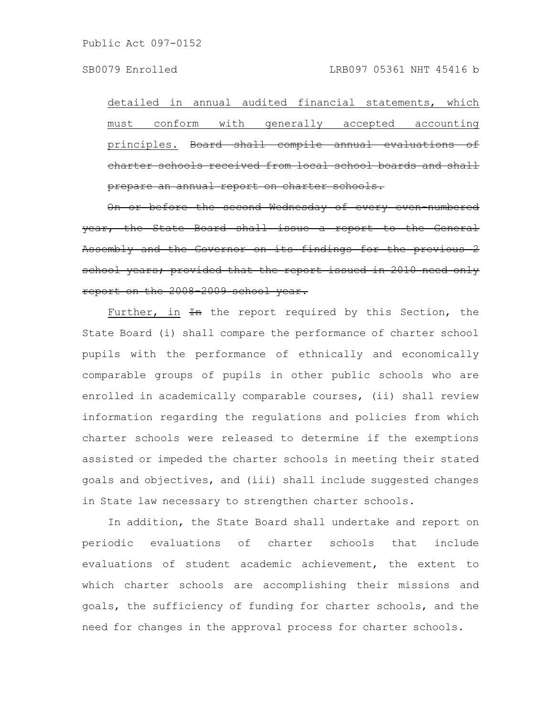detailed in annual audited financial statements, which must conform with generally accepted accounting principles. Board shall compile annual evaluat charter schools received from local school prepare an annual report on charter schools.

On or before the second Wednesday of every even numbered the State Board shall issue a report and the Governor on its findings for school years; provided that the report issued in 2010 report on the 2008 2009 school year.

Further, in  $H$  the report required by this Section, the State Board (i) shall compare the performance of charter school pupils with the performance of ethnically and economically comparable groups of pupils in other public schools who are enrolled in academically comparable courses, (ii) shall review information regarding the regulations and policies from which charter schools were released to determine if the exemptions assisted or impeded the charter schools in meeting their stated goals and objectives, and (iii) shall include suggested changes in State law necessary to strengthen charter schools.

In addition, the State Board shall undertake and report on periodic evaluations of charter schools that include evaluations of student academic achievement, the extent to which charter schools are accomplishing their missions and goals, the sufficiency of funding for charter schools, and the need for changes in the approval process for charter schools.